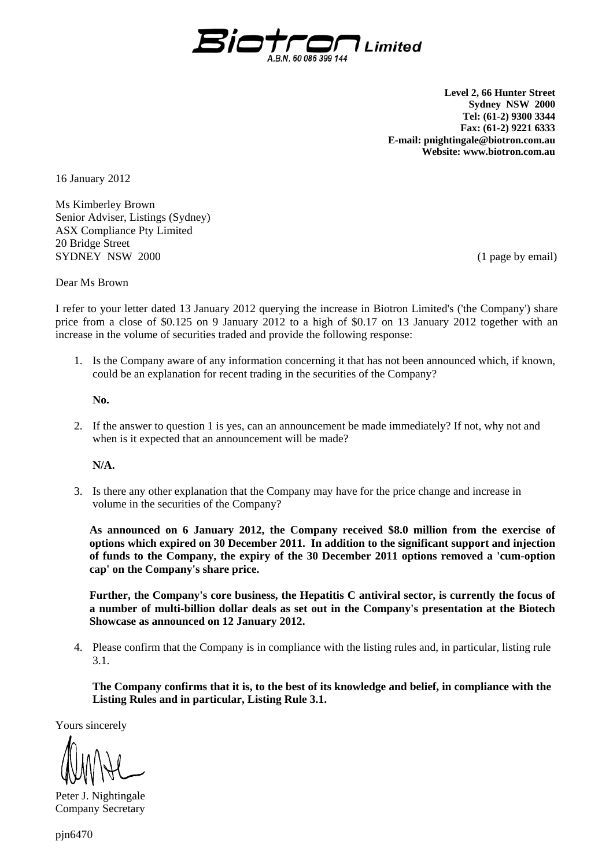

**Level 2, 66 Hunter Street Sydney NSW 2000 Tel: (61-2) 9300 3344 Fax: (61-2) 9221 6333 E-mail: pnightingale@biotron.com.au Website: www.biotron.com.au** 

16 January 2012

Ms Kimberley Brown Senior Adviser, Listings (Sydney) ASX Compliance Pty Limited 20 Bridge Street SYDNEY NSW 2000 (1 page by email)

Dear Ms Brown

I refer to your letter dated 13 January 2012 querying the increase in Biotron Limited's ('the Company') share price from a close of \$0.125 on 9 January 2012 to a high of \$0.17 on 13 January 2012 together with an increase in the volume of securities traded and provide the following response:

1. Is the Company aware of any information concerning it that has not been announced which, if known, could be an explanation for recent trading in the securities of the Company?

**No.** 

2. If the answer to question 1 is yes, can an announcement be made immediately? If not, why not and when is it expected that an announcement will be made?

 **N/A.** 

3. Is there any other explanation that the Company may have for the price change and increase in volume in the securities of the Company?

**As announced on 6 January 2012, the Company received \$8.0 million from the exercise of options which expired on 30 December 2011. In addition to the significant support and injection of funds to the Company, the expiry of the 30 December 2011 options removed a 'cum-option cap' on the Company's share price.** 

**Further, the Company's core business, the Hepatitis C antiviral sector, is currently the focus of a number of multi-billion dollar deals as set out in the Company's presentation at the Biotech Showcase as announced on 12 January 2012.** 

4. Please confirm that the Company is in compliance with the listing rules and, in particular, listing rule 3.1.

**The Company confirms that it is, to the best of its knowledge and belief, in compliance with the Listing Rules and in particular, Listing Rule 3.1.** 

Yours sincerely

Peter J. Nightingale Company Secretary

pjn6470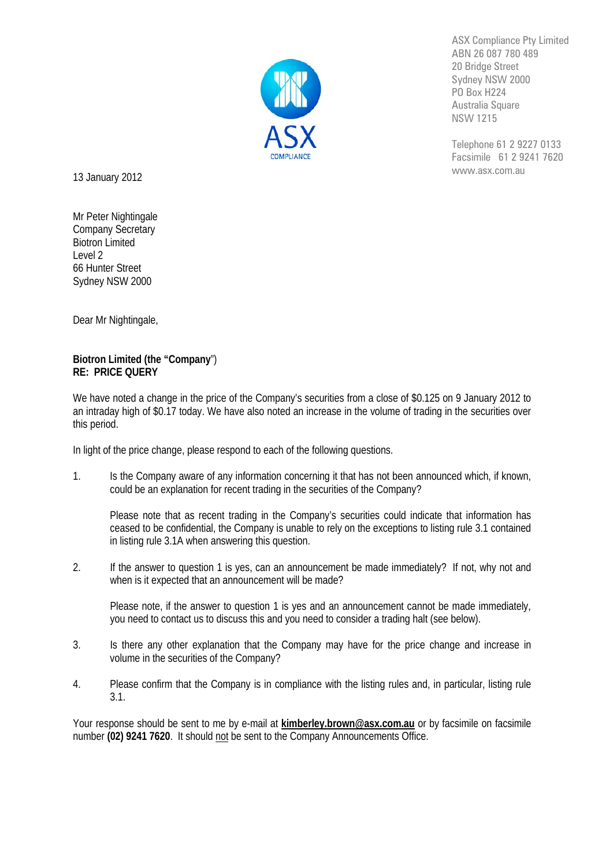

ASX Compliance Pty Limited ABN 26 087 780 489 20 Bridge Street Sydney NSW 2000 PO Box H224 Australia Square NSW 1215

Telephone 61 2 9227 0133 Facsimile 61 2 9241 7620 www.asx.com.au

13 January 2012

Mr Peter Nightingale Company Secretary Biotron Limited Level 2 66 Hunter Street Sydney NSW 2000

Dear Mr Nightingale,

## **Biotron Limited (the "Company**") **RE: PRICE QUERY**

We have noted a change in the price of the Company's securities from a close of \$0.125 on 9 January 2012 to an intraday high of \$0.17 today. We have also noted an increase in the volume of trading in the securities over this period.

In light of the price change, please respond to each of the following questions.

1. Is the Company aware of any information concerning it that has not been announced which, if known, could be an explanation for recent trading in the securities of the Company?

Please note that as recent trading in the Company's securities could indicate that information has ceased to be confidential, the Company is unable to rely on the exceptions to listing rule 3.1 contained in listing rule 3.1A when answering this question.

2. If the answer to question 1 is yes, can an announcement be made immediately? If not, why not and when is it expected that an announcement will be made?

Please note, if the answer to question 1 is yes and an announcement cannot be made immediately, you need to contact us to discuss this and you need to consider a trading halt (see below).

- 3. Is there any other explanation that the Company may have for the price change and increase in volume in the securities of the Company?
- 4. Please confirm that the Company is in compliance with the listing rules and, in particular, listing rule 3.1.

Your response should be sent to me by e-mail at **kimberley.brown@asx.com.au** or by facsimile on facsimile number (02) 9241 7620. It should not be sent to the Company Announcements Office.